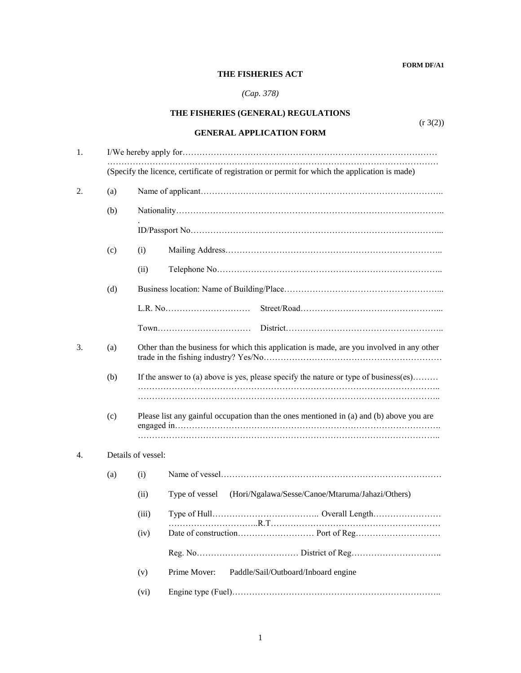**FORM DF/A1**

## **THE FISHERIES ACT**

## *(Cap. 378)*

|    |     | THE FISHERIES (GENERAL) REGULATIONS                                                            |  |  |  |
|----|-----|------------------------------------------------------------------------------------------------|--|--|--|
|    |     | (r 3(2))<br><b>GENERAL APPLICATION FORM</b>                                                    |  |  |  |
| 1. |     |                                                                                                |  |  |  |
|    |     | (Specify the licence, certificate of registration or permit for which the application is made) |  |  |  |
| 2. | (a) |                                                                                                |  |  |  |
|    | (b) |                                                                                                |  |  |  |
|    |     |                                                                                                |  |  |  |
|    | (c) | (i)                                                                                            |  |  |  |
|    |     | (ii)                                                                                           |  |  |  |
|    | (d) |                                                                                                |  |  |  |
|    |     |                                                                                                |  |  |  |
|    |     |                                                                                                |  |  |  |
| 3. | (a) | Other than the business for which this application is made, are you involved in any other      |  |  |  |
|    | (b) | If the answer to (a) above is yes, please specify the nature or type of business(es)           |  |  |  |
|    |     |                                                                                                |  |  |  |
|    | (c) | Please list any gainful occupation than the ones mentioned in (a) and (b) above you are        |  |  |  |
| 4. |     | Details of vessel:                                                                             |  |  |  |
|    | (a) | (i)                                                                                            |  |  |  |
|    |     | (Hori/Ngalawa/Sesse/Canoe/Mtaruma/Jahazi/Others)<br>(ii)<br>Type of vessel                     |  |  |  |
|    |     | (iii)                                                                                          |  |  |  |
|    |     | (iv)                                                                                           |  |  |  |
|    |     |                                                                                                |  |  |  |
|    |     | Paddle/Sail/Outboard/Inboard engine<br>Prime Mover:<br>(v)                                     |  |  |  |
|    |     | (vi)                                                                                           |  |  |  |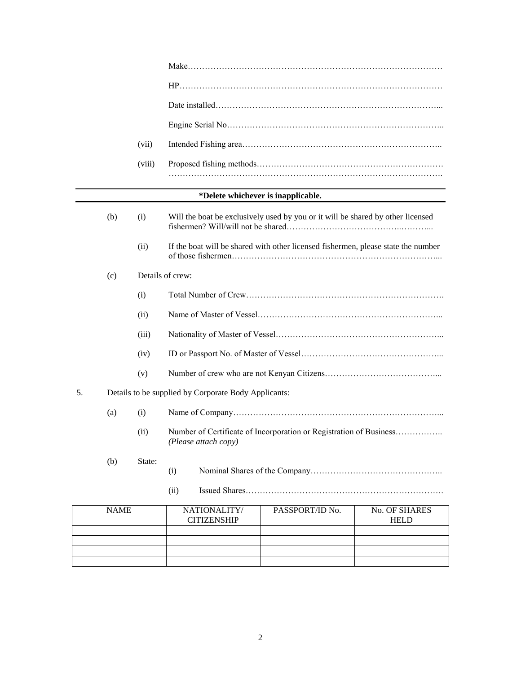|    |             | (vii)  |                                                      |                                                                                   |                              |
|----|-------------|--------|------------------------------------------------------|-----------------------------------------------------------------------------------|------------------------------|
|    |             | (viii) |                                                      |                                                                                   |                              |
|    |             |        |                                                      | *Delete whichever is inapplicable.                                                |                              |
|    | (b)         | (i)    |                                                      | Will the boat be exclusively used by you or it will be shared by other licensed   |                              |
|    |             | (ii)   |                                                      | If the boat will be shared with other licensed fishermen, please state the number |                              |
|    | (c)         |        | Details of crew:                                     |                                                                                   |                              |
|    |             | (i)    |                                                      |                                                                                   |                              |
|    |             | (ii)   |                                                      |                                                                                   |                              |
|    |             | (iii)  |                                                      |                                                                                   |                              |
|    |             | (iv)   |                                                      |                                                                                   |                              |
|    |             | (v)    |                                                      |                                                                                   |                              |
| 5. |             |        | Details to be supplied by Corporate Body Applicants: |                                                                                   |                              |
|    | (a)         | (i)    |                                                      |                                                                                   |                              |
|    |             | (ii)   | (Please attach copy)                                 | Number of Certificate of Incorporation or Registration of Business                |                              |
|    | (b)         | State: | (i)                                                  |                                                                                   |                              |
|    |             |        | (ii)                                                 |                                                                                   |                              |
|    | <b>NAME</b> |        | NATIONALITY/<br><b>CITIZENSHIP</b>                   | PASSPORT/ID No.                                                                   | No. OF SHARES<br><b>HELD</b> |
|    |             |        |                                                      |                                                                                   |                              |
|    |             |        |                                                      |                                                                                   |                              |